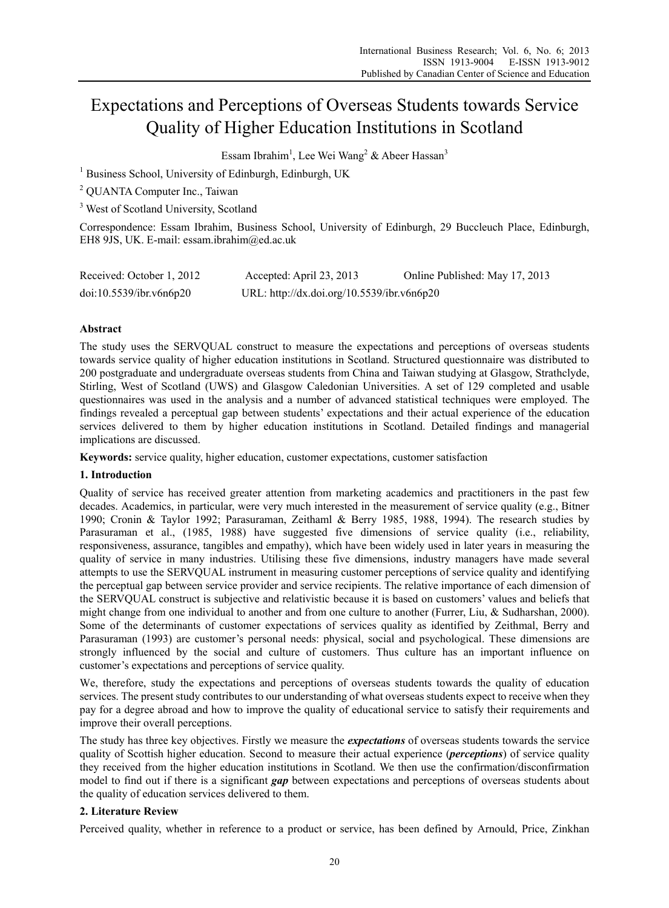# Expectations and Perceptions of Overseas Students towards Service Quality of Higher Education Institutions in Scotland

Essam Ibrahim<sup>1</sup>, Lee Wei Wang<sup>2</sup> & Abeer Hassan<sup>3</sup>

<sup>1</sup> Business School, University of Edinburgh, Edinburgh, UK

<sup>2</sup> QUANTA Computer Inc., Taiwan

<sup>3</sup> West of Scotland University, Scotland

Correspondence: Essam Ibrahim, Business School, University of Edinburgh, 29 Buccleuch Place, Edinburgh, EH8 9JS, UK. E-mail: essam.ibrahim@ed.ac.uk

| Received: October 1, 2012 | Accepted: April 23, 2013                   | Online Published: May 17, 2013 |
|---------------------------|--------------------------------------------|--------------------------------|
| doi:10.5539/ibr.v6n6p20   | URL: http://dx.doi.org/10.5539/ibr.v6n6p20 |                                |

## **Abstract**

The study uses the SERVQUAL construct to measure the expectations and perceptions of overseas students towards service quality of higher education institutions in Scotland. Structured questionnaire was distributed to 200 postgraduate and undergraduate overseas students from China and Taiwan studying at Glasgow, Strathclyde, Stirling, West of Scotland (UWS) and Glasgow Caledonian Universities. A set of 129 completed and usable questionnaires was used in the analysis and a number of advanced statistical techniques were employed. The findings revealed a perceptual gap between students' expectations and their actual experience of the education services delivered to them by higher education institutions in Scotland. Detailed findings and managerial implications are discussed.

**Keywords:** service quality, higher education, customer expectations, customer satisfaction

#### **1. Introduction**

Quality of service has received greater attention from marketing academics and practitioners in the past few decades. Academics, in particular, were very much interested in the measurement of service quality (e.g., Bitner 1990; Cronin & Taylor 1992; Parasuraman, Zeithaml & Berry 1985, 1988, 1994). The research studies by Parasuraman et al., (1985, 1988) have suggested five dimensions of service quality (i.e., reliability, responsiveness, assurance, tangibles and empathy), which have been widely used in later years in measuring the quality of service in many industries. Utilising these five dimensions, industry managers have made several attempts to use the SERVQUAL instrument in measuring customer perceptions of service quality and identifying the perceptual gap between service provider and service recipients. The relative importance of each dimension of the SERVQUAL construct is subjective and relativistic because it is based on customers' values and beliefs that might change from one individual to another and from one culture to another (Furrer, Liu, & Sudharshan, 2000). Some of the determinants of customer expectations of services quality as identified by Zeithmal, Berry and Parasuraman (1993) are customer's personal needs: physical, social and psychological. These dimensions are strongly influenced by the social and culture of customers. Thus culture has an important influence on customer's expectations and perceptions of service quality.

We, therefore, study the expectations and perceptions of overseas students towards the quality of education services. The present study contributes to our understanding of what overseas students expect to receive when they pay for a degree abroad and how to improve the quality of educational service to satisfy their requirements and improve their overall perceptions.

The study has three key objectives. Firstly we measure the *expectations* of overseas students towards the service quality of Scottish higher education. Second to measure their actual experience (*perceptions*) of service quality they received from the higher education institutions in Scotland. We then use the confirmation/disconfirmation model to find out if there is a significant *gap* between expectations and perceptions of overseas students about the quality of education services delivered to them.

# **2. Literature Review**

Perceived quality, whether in reference to a product or service, has been defined by Arnould, Price, Zinkhan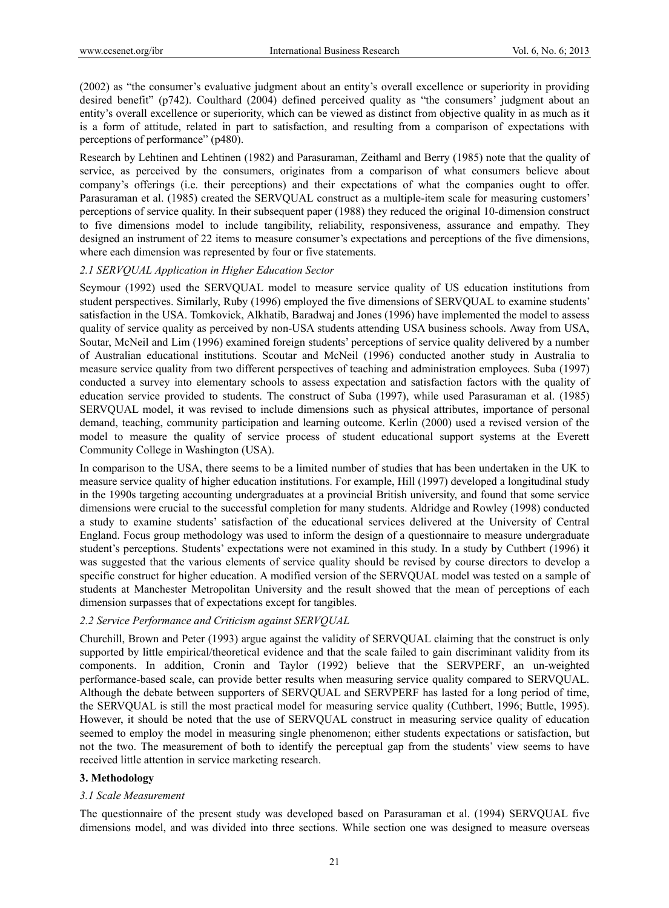(2002) as "the consumer's evaluative judgment about an entity's overall excellence or superiority in providing desired benefit" (p742). Coulthard (2004) defined perceived quality as "the consumers' judgment about an entity's overall excellence or superiority, which can be viewed as distinct from objective quality in as much as it is a form of attitude, related in part to satisfaction, and resulting from a comparison of expectations with perceptions of performance" (p480).

Research by Lehtinen and Lehtinen (1982) and Parasuraman, Zeithaml and Berry (1985) note that the quality of service, as perceived by the consumers, originates from a comparison of what consumers believe about company's offerings (i.e. their perceptions) and their expectations of what the companies ought to offer. Parasuraman et al. (1985) created the SERVQUAL construct as a multiple-item scale for measuring customers' perceptions of service quality. In their subsequent paper (1988) they reduced the original 10-dimension construct to five dimensions model to include tangibility, reliability, responsiveness, assurance and empathy. They designed an instrument of 22 items to measure consumer's expectations and perceptions of the five dimensions, where each dimension was represented by four or five statements.

## *2.1 SERVQUAL Application in Higher Education Sector*

Seymour (1992) used the SERVQUAL model to measure service quality of US education institutions from student perspectives. Similarly, Ruby (1996) employed the five dimensions of SERVQUAL to examine students' satisfaction in the USA. Tomkovick, Alkhatib, Baradwaj and Jones (1996) have implemented the model to assess quality of service quality as perceived by non-USA students attending USA business schools. Away from USA, Soutar, McNeil and Lim (1996) examined foreign students' perceptions of service quality delivered by a number of Australian educational institutions. Scoutar and McNeil (1996) conducted another study in Australia to measure service quality from two different perspectives of teaching and administration employees. Suba (1997) conducted a survey into elementary schools to assess expectation and satisfaction factors with the quality of education service provided to students. The construct of Suba (1997), while used Parasuraman et al. (1985) SERVQUAL model, it was revised to include dimensions such as physical attributes, importance of personal demand, teaching, community participation and learning outcome. Kerlin (2000) used a revised version of the model to measure the quality of service process of student educational support systems at the Everett Community College in Washington (USA).

In comparison to the USA, there seems to be a limited number of studies that has been undertaken in the UK to measure service quality of higher education institutions. For example, Hill (1997) developed a longitudinal study in the 1990s targeting accounting undergraduates at a provincial British university, and found that some service dimensions were crucial to the successful completion for many students. Aldridge and Rowley (1998) conducted a study to examine students' satisfaction of the educational services delivered at the University of Central England. Focus group methodology was used to inform the design of a questionnaire to measure undergraduate student's perceptions. Students' expectations were not examined in this study. In a study by Cuthbert (1996) it was suggested that the various elements of service quality should be revised by course directors to develop a specific construct for higher education. A modified version of the SERVQUAL model was tested on a sample of students at Manchester Metropolitan University and the result showed that the mean of perceptions of each dimension surpasses that of expectations except for tangibles.

#### *2.2 Service Performance and Criticism against SERVQUAL*

Churchill, Brown and Peter (1993) argue against the validity of SERVQUAL claiming that the construct is only supported by little empirical/theoretical evidence and that the scale failed to gain discriminant validity from its components. In addition, Cronin and Taylor (1992) believe that the SERVPERF, an un-weighted performance-based scale, can provide better results when measuring service quality compared to SERVQUAL. Although the debate between supporters of SERVQUAL and SERVPERF has lasted for a long period of time, the SERVQUAL is still the most practical model for measuring service quality (Cuthbert, 1996; Buttle, 1995). However, it should be noted that the use of SERVQUAL construct in measuring service quality of education seemed to employ the model in measuring single phenomenon; either students expectations or satisfaction, but not the two. The measurement of both to identify the perceptual gap from the students' view seems to have received little attention in service marketing research.

#### **3. Methodology**

#### *3.1 Scale Measurement*

The questionnaire of the present study was developed based on Parasuraman et al. (1994) SERVQUAL five dimensions model, and was divided into three sections. While section one was designed to measure overseas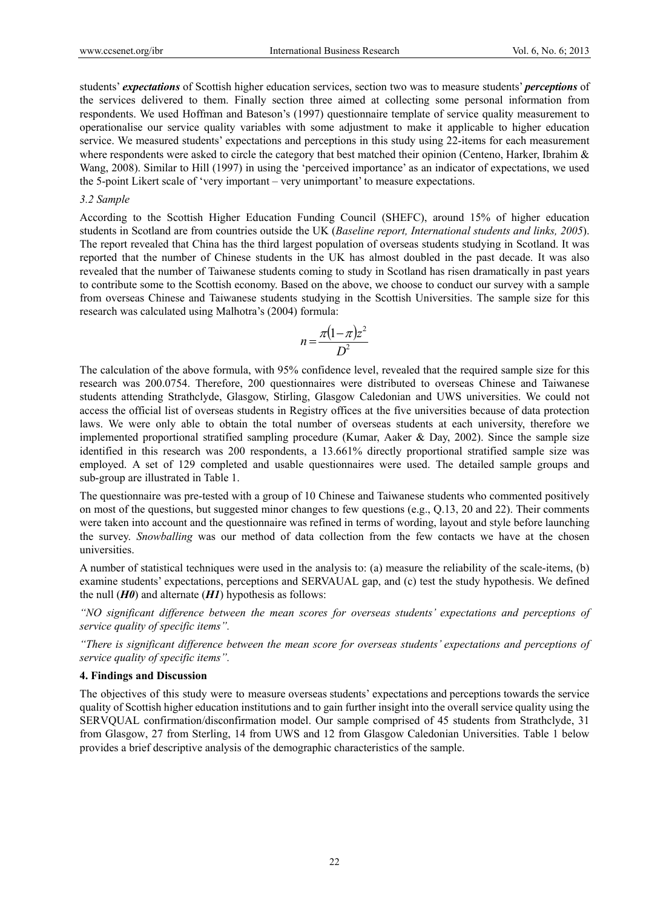students' *expectations* of Scottish higher education services, section two was to measure students' *perceptions* of the services delivered to them. Finally section three aimed at collecting some personal information from respondents. We used Hoffman and Bateson's (1997) questionnaire template of service quality measurement to operationalise our service quality variables with some adjustment to make it applicable to higher education service. We measured students' expectations and perceptions in this study using 22-items for each measurement where respondents were asked to circle the category that best matched their opinion (Centeno, Harker, Ibrahim  $\&$ Wang, 2008). Similar to Hill (1997) in using the 'perceived importance' as an indicator of expectations, we used the 5-point Likert scale of 'very important – very unimportant' to measure expectations.

#### *3.2 Sample*

According to the Scottish Higher Education Funding Council (SHEFC), around 15% of higher education students in Scotland are from countries outside the UK (*Baseline report, International students and links, 2005*). The report revealed that China has the third largest population of overseas students studying in Scotland. It was reported that the number of Chinese students in the UK has almost doubled in the past decade. It was also revealed that the number of Taiwanese students coming to study in Scotland has risen dramatically in past years to contribute some to the Scottish economy. Based on the above, we choose to conduct our survey with a sample from overseas Chinese and Taiwanese students studying in the Scottish Universities. The sample size for this research was calculated using Malhotra's (2004) formula:

$$
n = \frac{\pi (1 - \pi) z^2}{D^2}
$$

The calculation of the above formula, with 95% confidence level, revealed that the required sample size for this research was 200.0754. Therefore, 200 questionnaires were distributed to overseas Chinese and Taiwanese students attending Strathclyde, Glasgow, Stirling, Glasgow Caledonian and UWS universities. We could not access the official list of overseas students in Registry offices at the five universities because of data protection laws. We were only able to obtain the total number of overseas students at each university, therefore we implemented proportional stratified sampling procedure (Kumar, Aaker & Day, 2002). Since the sample size identified in this research was 200 respondents, a 13.661% directly proportional stratified sample size was employed. A set of 129 completed and usable questionnaires were used. The detailed sample groups and sub-group are illustrated in Table 1.

The questionnaire was pre-tested with a group of 10 Chinese and Taiwanese students who commented positively on most of the questions, but suggested minor changes to few questions (e.g., Q.13, 20 and 22). Their comments were taken into account and the questionnaire was refined in terms of wording, layout and style before launching the survey. *Snowballing* was our method of data collection from the few contacts we have at the chosen universities.

A number of statistical techniques were used in the analysis to: (a) measure the reliability of the scale-items, (b) examine students' expectations, perceptions and SERVAUAL gap, and (c) test the study hypothesis. We defined the null (*H0*) and alternate (*H1*) hypothesis as follows:

*"NO significant difference between the mean scores for overseas students' expectations and perceptions of service quality of specific items".* 

*"There is significant difference between the mean score for overseas students' expectations and perceptions of service quality of specific items".* 

#### **4. Findings and Discussion**

The objectives of this study were to measure overseas students' expectations and perceptions towards the service quality of Scottish higher education institutions and to gain further insight into the overall service quality using the SERVQUAL confirmation/disconfirmation model. Our sample comprised of 45 students from Strathclyde, 31 from Glasgow, 27 from Sterling, 14 from UWS and 12 from Glasgow Caledonian Universities. Table 1 below provides a brief descriptive analysis of the demographic characteristics of the sample.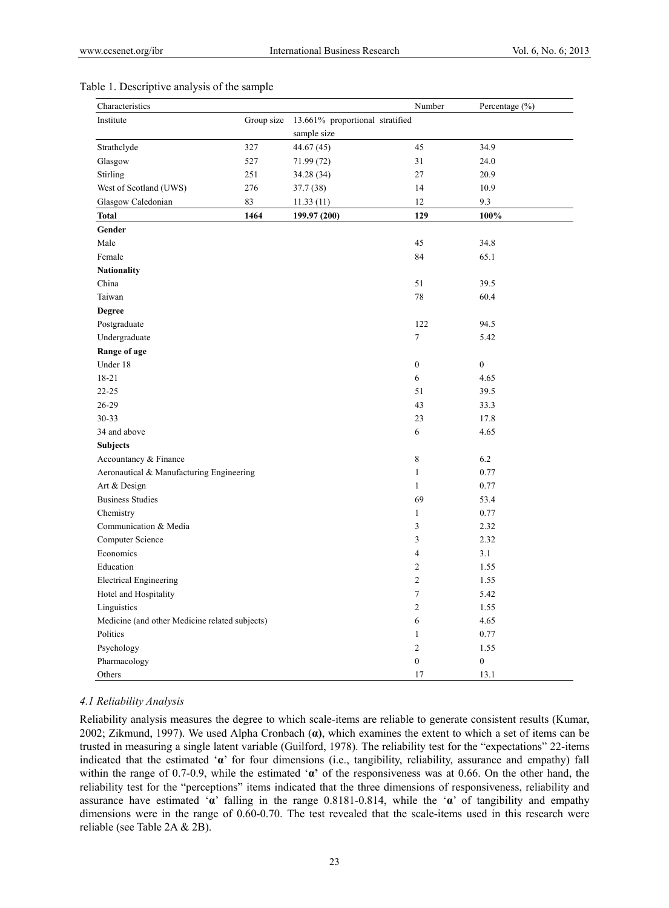| Characteristics                                |            |                                 | Number                  | Percentage (%)   |
|------------------------------------------------|------------|---------------------------------|-------------------------|------------------|
| Institute                                      | Group size | 13.661% proportional stratified |                         |                  |
|                                                |            | sample size                     |                         |                  |
| Strathclyde                                    | 327        | 44.67 (45)                      | 45                      | 34.9             |
| Glasgow                                        | 527        | 71.99 (72)                      | 31                      | 24.0             |
| Stirling                                       | 251        | 34.28 (34)                      | 27                      | 20.9             |
| West of Scotland (UWS)                         | 276        | 37.7(38)                        | 14                      | 10.9             |
| Glasgow Caledonian                             | 83         | 11.33(11)                       | 12                      | 9.3              |
| <b>Total</b>                                   | 1464       | 199.97 (200)                    | 129                     | 100%             |
| Gender                                         |            |                                 |                         |                  |
| Male                                           |            |                                 | 45                      | 34.8             |
| Female                                         |            |                                 | 84                      | 65.1             |
| <b>Nationality</b>                             |            |                                 |                         |                  |
| China                                          |            |                                 | 51                      | 39.5             |
| Taiwan                                         |            |                                 | 78                      | 60.4             |
| <b>Degree</b>                                  |            |                                 |                         |                  |
| Postgraduate                                   |            |                                 | 122                     | 94.5             |
| Undergraduate                                  |            |                                 | $\overline{7}$          | 5.42             |
| Range of age                                   |            |                                 |                         |                  |
| Under 18                                       |            |                                 | $\boldsymbol{0}$        | $\boldsymbol{0}$ |
| 18-21                                          |            |                                 | 6                       | 4.65             |
| $22 - 25$                                      |            |                                 | 51                      | 39.5             |
| 26-29                                          |            |                                 | 43                      | 33.3             |
| $30 - 33$                                      |            |                                 | 23                      | 17.8             |
| 34 and above                                   |            |                                 | 6                       | 4.65             |
| <b>Subjects</b>                                |            |                                 |                         |                  |
| Accountancy & Finance                          |            |                                 | 8                       | 6.2              |
| Aeronautical & Manufacturing Engineering       |            |                                 | $\mathbf{1}$            | 0.77             |
| Art & Design                                   |            |                                 | $\mathbf{1}$            | 0.77             |
| <b>Business Studies</b>                        |            |                                 | 69                      | 53.4             |
| Chemistry                                      |            |                                 | $\mathbf{1}$            | 0.77             |
| Communication & Media                          |            |                                 | 3                       | 2.32             |
| Computer Science                               |            |                                 | 3                       | 2.32             |
| Economics                                      |            |                                 | $\overline{\mathbf{4}}$ | 3.1              |
| Education                                      |            |                                 | $\overline{c}$          | 1.55             |
| <b>Electrical Engineering</b>                  |            |                                 | $\overline{c}$          | 1.55             |
| Hotel and Hospitality                          |            |                                 | $\overline{7}$          | 5.42             |
| Linguistics                                    |            |                                 | $\overline{c}$          | 1.55             |
| Medicine (and other Medicine related subjects) |            |                                 | 6                       | 4.65             |
| Politics                                       |            |                                 | $\mathbf{1}$            | 0.77             |
| Psychology                                     |            |                                 | $\overline{c}$          | 1.55             |
| Pharmacology                                   |            |                                 | $\boldsymbol{0}$        | $\boldsymbol{0}$ |
| Others                                         |            |                                 | 17                      | 13.1             |

#### Table 1. Descriptive analysis of the sample

#### *4.1 Reliability Analysis*

Reliability analysis measures the degree to which scale-items are reliable to generate consistent results (Kumar, 2002; Zikmund, 1997). We used Alpha Cronbach (**α)**, which examines the extent to which a set of items can be trusted in measuring a single latent variable (Guilford, 1978). The reliability test for the "expectations" 22-items indicated that the estimated '**α**' for four dimensions (i.e., tangibility, reliability, assurance and empathy) fall within the range of 0.7-0.9, while the estimated '**α'** of the responsiveness was at 0.66. On the other hand, the reliability test for the "perceptions" items indicated that the three dimensions of responsiveness, reliability and assurance have estimated '**α**' falling in the range 0.8181-0.814, while the '**α**' of tangibility and empathy dimensions were in the range of 0.60-0.70. The test revealed that the scale-items used in this research were reliable (see Table 2A & 2B).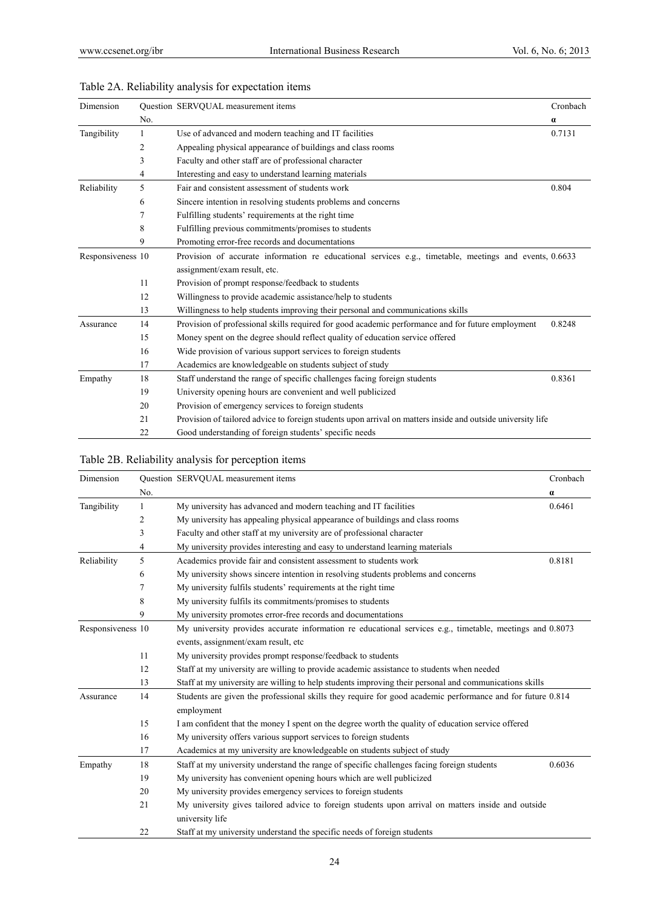| Dimension         |     | Question SERVQUAL measurement items                                                                         |          |  |  |  |  |
|-------------------|-----|-------------------------------------------------------------------------------------------------------------|----------|--|--|--|--|
|                   | No. |                                                                                                             | $\alpha$ |  |  |  |  |
| Tangibility       | 1   | Use of advanced and modern teaching and IT facilities                                                       | 0.7131   |  |  |  |  |
|                   | 2   | Appealing physical appearance of buildings and class rooms                                                  |          |  |  |  |  |
|                   | 3   | Faculty and other staff are of professional character                                                       |          |  |  |  |  |
|                   | 4   | Interesting and easy to understand learning materials                                                       |          |  |  |  |  |
| Reliability       | 5   | Fair and consistent assessment of students work                                                             | 0.804    |  |  |  |  |
|                   | 6   | Sincere intention in resolving students problems and concerns                                               |          |  |  |  |  |
|                   | 7   | Fulfilling students' requirements at the right time                                                         |          |  |  |  |  |
|                   | 8   | Fulfilling previous commitments/promises to students                                                        |          |  |  |  |  |
|                   | 9   | Promoting error-free records and documentations                                                             |          |  |  |  |  |
| Responsiveness 10 |     | Provision of accurate information re educational services e.g., timetable, meetings and events, 0.6633      |          |  |  |  |  |
|                   |     | assignment/exam result, etc.                                                                                |          |  |  |  |  |
|                   | 11  | Provision of prompt response/feedback to students                                                           |          |  |  |  |  |
|                   | 12  | Willingness to provide academic assistance/help to students                                                 |          |  |  |  |  |
|                   | 13  | Willingness to help students improving their personal and communications skills                             |          |  |  |  |  |
| 14<br>Assurance   |     | Provision of professional skills required for good academic performance and for future employment           | 0.8248   |  |  |  |  |
|                   | 15  | Money spent on the degree should reflect quality of education service offered                               |          |  |  |  |  |
|                   | 16  | Wide provision of various support services to foreign students                                              |          |  |  |  |  |
|                   | 17  | Academics are knowledgeable on students subject of study                                                    |          |  |  |  |  |
| Empathy           | 18  | Staff understand the range of specific challenges facing foreign students                                   | 0.8361   |  |  |  |  |
|                   | 19  | University opening hours are convenient and well publicized                                                 |          |  |  |  |  |
|                   | 20  | Provision of emergency services to foreign students                                                         |          |  |  |  |  |
|                   | 21  | Provision of tailored advice to foreign students upon arrival on matters inside and outside university life |          |  |  |  |  |
|                   | 22  | Good understanding of foreign students' specific needs                                                      |          |  |  |  |  |

Table 2A. Reliability analysis for expectation items

# Table 2B. Reliability analysis for perception items

| Dimension         |     | Question SERVQUAL measurement items                                                                        |        |  |  |  |
|-------------------|-----|------------------------------------------------------------------------------------------------------------|--------|--|--|--|
|                   | No. |                                                                                                            |        |  |  |  |
| Tangibility       | 1   | My university has advanced and modern teaching and IT facilities                                           | 0.6461 |  |  |  |
|                   | 2   | My university has appealing physical appearance of buildings and class rooms                               |        |  |  |  |
|                   | 3   | Faculty and other staff at my university are of professional character                                     |        |  |  |  |
|                   | 4   | My university provides interesting and easy to understand learning materials                               |        |  |  |  |
| Reliability       | 5   | Academics provide fair and consistent assessment to students work                                          | 0.8181 |  |  |  |
|                   | 6   | My university shows sincere intention in resolving students problems and concerns                          |        |  |  |  |
|                   | 7   | My university fulfils students' requirements at the right time                                             |        |  |  |  |
|                   | 8   | My university fulfils its commitments/promises to students                                                 |        |  |  |  |
|                   | 9   | My university promotes error-free records and documentations                                               |        |  |  |  |
| Responsiveness 10 |     | My university provides accurate information re educational services e.g., timetable, meetings and 0.8073   |        |  |  |  |
|                   |     | events, assignment/exam result, etc                                                                        |        |  |  |  |
|                   | 11  | My university provides prompt response/feedback to students                                                |        |  |  |  |
|                   | 12  | Staff at my university are willing to provide academic assistance to students when needed                  |        |  |  |  |
|                   | 13  | Staff at my university are willing to help students improving their personal and communications skills     |        |  |  |  |
| Assurance         | 14  | Students are given the professional skills they require for good academic performance and for future 0.814 |        |  |  |  |
|                   |     | employment                                                                                                 |        |  |  |  |
|                   | 15  | I am confident that the money I spent on the degree worth the quality of education service offered         |        |  |  |  |
|                   | 16  | My university offers various support services to foreign students                                          |        |  |  |  |
|                   | 17  | Academics at my university are knowledgeable on students subject of study                                  |        |  |  |  |
| Empathy           | 18  | Staff at my university understand the range of specific challenges facing foreign students                 | 0.6036 |  |  |  |
|                   | 19  | My university has convenient opening hours which are well publicized                                       |        |  |  |  |
|                   | 20  | My university provides emergency services to foreign students                                              |        |  |  |  |
|                   | 21  | My university gives tailored advice to foreign students upon arrival on matters inside and outside         |        |  |  |  |
|                   |     | university life                                                                                            |        |  |  |  |
|                   | 22  | Staff at my university understand the specific needs of foreign students                                   |        |  |  |  |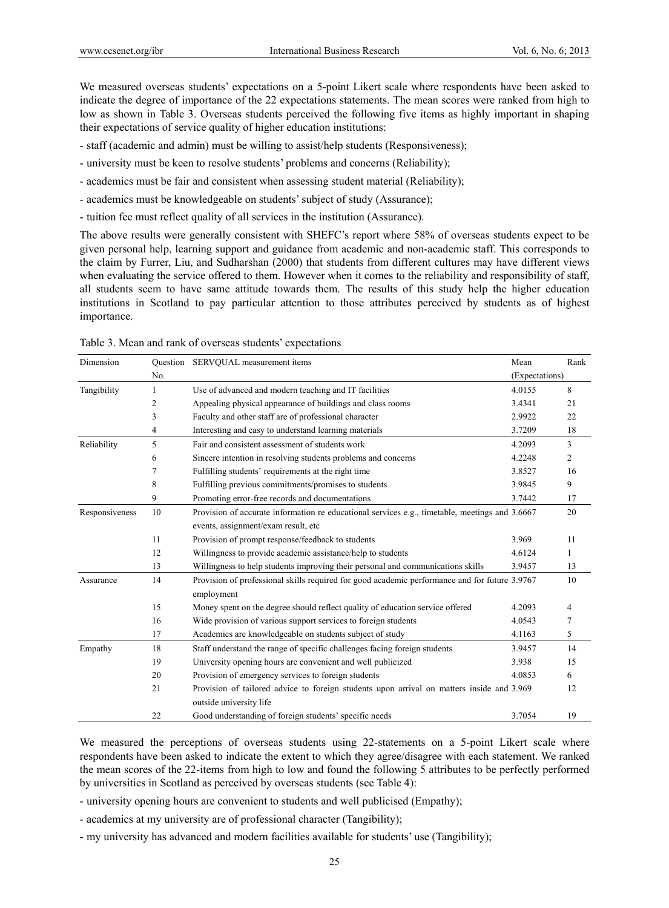We measured overseas students' expectations on a 5-point Likert scale where respondents have been asked to indicate the degree of importance of the 22 expectations statements. The mean scores were ranked from high to low as shown in Table 3. Overseas students perceived the following five items as highly important in shaping their expectations of service quality of higher education institutions:

- staff (academic and admin) must be willing to assist/help students (Responsiveness);
- university must be keen to resolve students' problems and concerns (Reliability);
- academics must be fair and consistent when assessing student material (Reliability);
- academics must be knowledgeable on students' subject of study (Assurance);
- tuition fee must reflect quality of all services in the institution (Assurance).

The above results were generally consistent with SHEFC's report where 58% of overseas students expect to be given personal help, learning support and guidance from academic and non-academic staff. This corresponds to the claim by Furrer, Liu, and Sudharshan (2000) that students from different cultures may have different views when evaluating the service offered to them. However when it comes to the reliability and responsibility of staff, all students seem to have same attitude towards them. The results of this study help the higher education institutions in Scotland to pay particular attention to those attributes perceived by students as of highest importance.

| Dimension      |                | <b>Ouestion</b> SERVOUAL measurement items                                                       | Mean           | Rank |
|----------------|----------------|--------------------------------------------------------------------------------------------------|----------------|------|
|                | No.            |                                                                                                  | (Expectations) |      |
| Tangibility    | 1              | Use of advanced and modern teaching and IT facilities                                            | 4.0155         | 8    |
|                | $\overline{c}$ | Appealing physical appearance of buildings and class rooms                                       | 3.4341         | 21   |
|                | 3              | Faculty and other staff are of professional character                                            | 2.9922         | 22   |
|                | 4              | Interesting and easy to understand learning materials                                            | 3.7209         | 18   |
| Reliability    | 5              | Fair and consistent assessment of students work                                                  | 4.2093         | 3    |
|                | 6              | Sincere intention in resolving students problems and concerns                                    | 4.2248         | 2    |
|                | 7              | Fulfilling students' requirements at the right time                                              | 3.8527         | 16   |
|                | 8              | Fulfilling previous commitments/promises to students                                             | 3.9845         | 9    |
|                | 9              | Promoting error-free records and documentations                                                  | 3.7442         | 17   |
| Responsiveness | 10             | Provision of accurate information re educational services e.g., timetable, meetings and $3.6667$ |                | 20   |
|                |                | events, assignment/exam result, etc                                                              |                |      |
|                | 11             | Provision of prompt response/feedback to students                                                | 3.969          | 11   |
|                | 12             | Willingness to provide academic assistance/help to students                                      | 4.6124         | 1    |
|                | 13             | Willingness to help students improving their personal and communications skills                  | 3.9457         | 13   |
| Assurance      | 14             | Provision of professional skills required for good academic performance and for future 3.9767    |                | 10   |
|                |                | employment                                                                                       |                |      |
|                | 15             | Money spent on the degree should reflect quality of education service offered                    | 4.2093         | 4    |
|                | 16             | Wide provision of various support services to foreign students                                   | 4.0543         | 7    |
|                | 17             | Academics are knowledgeable on students subject of study                                         | 4.1163         | 5    |
| Empathy        | 18             | Staff understand the range of specific challenges facing foreign students                        | 3.9457         | 14   |
|                | 19             | University opening hours are convenient and well publicized                                      | 3.938          | 15   |
|                | 20             | Provision of emergency services to foreign students                                              | 4.0853         | 6    |
|                | 21             | Provision of tailored advice to foreign students upon arrival on matters inside and 3.969        |                | 12   |
|                |                | outside university life                                                                          |                |      |
|                | 22             | Good understanding of foreign students' specific needs                                           | 3.7054         | 19   |

Table 3. Mean and rank of overseas students' expectations

We measured the perceptions of overseas students using 22-statements on a 5-point Likert scale where respondents have been asked to indicate the extent to which they agree/disagree with each statement. We ranked the mean scores of the 22-items from high to low and found the following 5 attributes to be perfectly performed by universities in Scotland as perceived by overseas students (see Table 4):

- university opening hours are convenient to students and well publicised (Empathy);

- academics at my university are of professional character (Tangibility);
- my university has advanced and modern facilities available for students' use (Tangibility);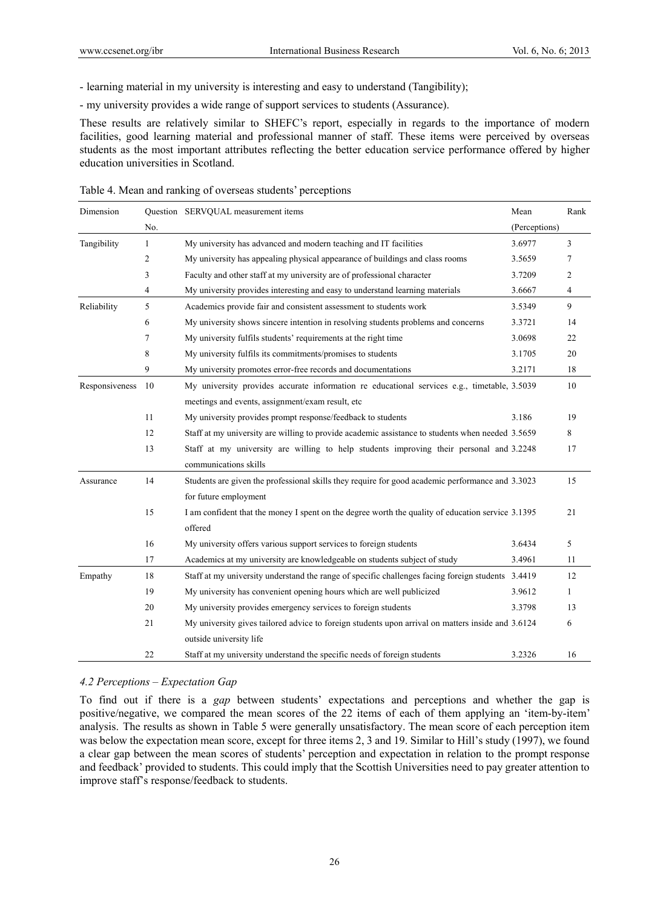- learning material in my university is interesting and easy to understand (Tangibility);
- my university provides a wide range of support services to students (Assurance).

These results are relatively similar to SHEFC's report, especially in regards to the importance of modern facilities, good learning material and professional manner of staff. These items were perceived by overseas students as the most important attributes reflecting the better education service performance offered by higher education universities in Scotland.

| Dimension      |              | Question SERVQUAL measurement items                                                               | Mean          | Rank         |
|----------------|--------------|---------------------------------------------------------------------------------------------------|---------------|--------------|
|                | No.          |                                                                                                   | (Perceptions) |              |
| Tangibility    | $\mathbf{1}$ | My university has advanced and modern teaching and IT facilities                                  | 3.6977        | 3            |
|                | 2            | My university has appealing physical appearance of buildings and class rooms                      | 3.5659        | 7            |
|                | 3            | Faculty and other staff at my university are of professional character                            | 3.7209        | 2            |
|                | 4            | My university provides interesting and easy to understand learning materials                      | 3.6667        | 4            |
| Reliability    | 5            | Academics provide fair and consistent assessment to students work                                 | 3.5349        | 9            |
|                | 6            | My university shows sincere intention in resolving students problems and concerns                 | 3.3721        | 14           |
|                | 7            | My university fulfils students' requirements at the right time                                    | 3.0698        | 22           |
|                | 8            | My university fulfils its commitments/promises to students                                        | 3.1705        | 20           |
|                | 9            | My university promotes error-free records and documentations                                      | 3.2171        | 18           |
| Responsiveness | 10           | My university provides accurate information re educational services e.g., timetable, 3.5039       |               | 10           |
|                |              | meetings and events, assignment/exam result, etc                                                  |               |              |
|                | 11           | My university provides prompt response/feedback to students                                       | 3.186         | 19           |
|                | 12           | Staff at my university are willing to provide academic assistance to students when needed 3.5659  |               | 8            |
|                | 13           | Staff at my university are willing to help students improving their personal and 3.2248           |               | 17           |
|                |              | communications skills                                                                             |               |              |
| Assurance      | 14           | Students are given the professional skills they require for good academic performance and 3.3023  |               | 15           |
|                |              | for future employment                                                                             |               |              |
|                | 15           | I am confident that the money I spent on the degree worth the quality of education service 3.1395 |               | 21           |
|                |              | offered                                                                                           |               |              |
|                | 16           | My university offers various support services to foreign students                                 | 3.6434        | 5            |
|                | 17           | Academics at my university are knowledgeable on students subject of study                         | 3.4961        | 11           |
| Empathy        | 18           | Staff at my university understand the range of specific challenges facing foreign students 3.4419 |               | 12           |
|                | 19           | My university has convenient opening hours which are well publicized                              | 3.9612        | $\mathbf{1}$ |
|                | 20           | My university provides emergency services to foreign students                                     | 3.3798        | 13           |
|                | 21           | My university gives tailored advice to foreign students upon arrival on matters inside and 3.6124 |               | 6            |
|                |              | outside university life                                                                           |               |              |
|                | 22           | Staff at my university understand the specific needs of foreign students                          | 3.2326        | 16           |

Table 4. Mean and ranking of overseas students' perceptions

# *4.2 Perceptions – Expectation Gap*

To find out if there is a *gap* between students' expectations and perceptions and whether the gap is positive/negative, we compared the mean scores of the 22 items of each of them applying an 'item-by-item' analysis. The results as shown in Table 5 were generally unsatisfactory. The mean score of each perception item was below the expectation mean score, except for three items 2, 3 and 19. Similar to Hill's study (1997), we found a clear gap between the mean scores of students' perception and expectation in relation to the prompt response and feedback' provided to students. This could imply that the Scottish Universities need to pay greater attention to improve staff's response/feedback to students.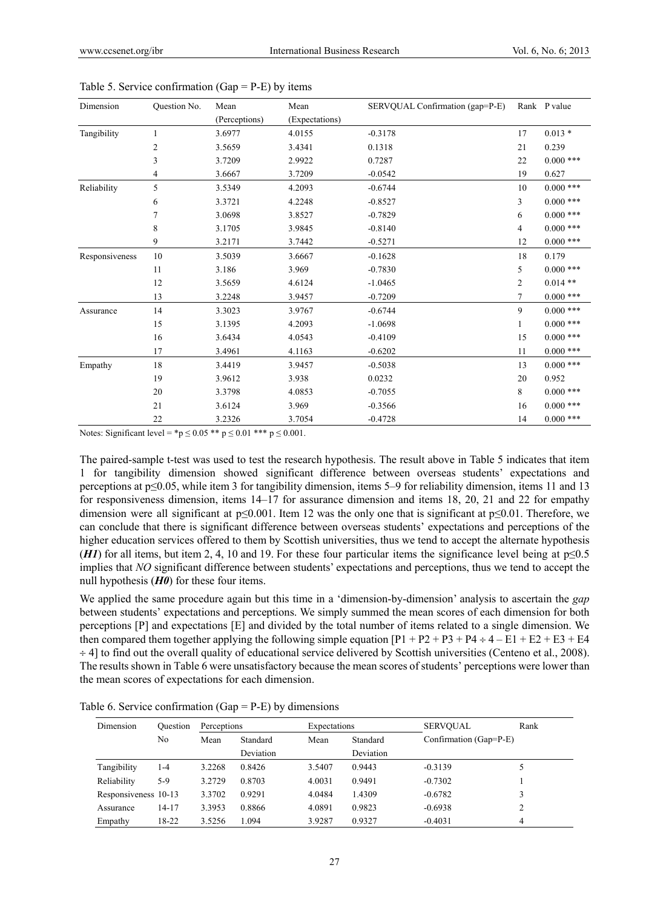| Dimension      | Question No.   | Mean          | Mean           | SERVQUAL Confirmation (gap=P-E) |                | Rank P value |
|----------------|----------------|---------------|----------------|---------------------------------|----------------|--------------|
|                |                | (Perceptions) | (Expectations) |                                 |                |              |
| Tangibility    |                | 3.6977        | 4.0155         | $-0.3178$                       | 17             | $0.013*$     |
|                | $\overline{c}$ | 3.5659        | 3.4341         | 0.1318                          | 21             | 0.239        |
|                | 3              | 3.7209        | 2.9922         | 0.7287                          | 22             | $0.000$ ***  |
|                | 4              | 3.6667        | 3.7209         | $-0.0542$                       | 19             | 0.627        |
| Reliability    | 5              | 3.5349        | 4.2093         | $-0.6744$                       | 10             | $0.000$ ***  |
|                | 6              | 3.3721        | 4.2248         | $-0.8527$                       | 3              | $0.000$ ***  |
|                |                | 3.0698        | 3.8527         | $-0.7829$                       | 6              | $0.000$ ***  |
|                | 8              | 3.1705        | 3.9845         | $-0.8140$                       | $\overline{4}$ | $0.000$ ***  |
|                | 9              | 3.2171        | 3.7442         | $-0.5271$                       | 12             | $0.000$ ***  |
| Responsiveness | 10             | 3.5039        | 3.6667         | $-0.1628$                       | 18             | 0.179        |
|                | 11             | 3.186         | 3.969          | $-0.7830$                       | 5              | $0.000$ ***  |
|                | 12             | 3.5659        | 4.6124         | $-1.0465$                       | 2              | $0.014**$    |
|                | 13             | 3.2248        | 3.9457         | $-0.7209$                       | $\overline{7}$ | $0.000$ ***  |
| Assurance      | 14             | 3.3023        | 3.9767         | $-0.6744$                       | 9              | $0.000$ ***  |
|                | 15             | 3.1395        | 4.2093         | $-1.0698$                       | 1              | $0.000$ ***  |
|                | 16             | 3.6434        | 4.0543         | $-0.4109$                       | 15             | $0.000$ ***  |
|                | 17             | 3.4961        | 4.1163         | $-0.6202$                       | 11             | $0.000$ ***  |
| Empathy        | 18             | 3.4419        | 3.9457         | $-0.5038$                       | 13             | $0.000$ ***  |
|                | 19             | 3.9612        | 3.938          | 0.0232                          | 20             | 0.952        |
|                | 20             | 3.3798        | 4.0853         | $-0.7055$                       | 8              | $0.000$ ***  |
|                | 21             | 3.6124        | 3.969          | $-0.3566$                       | 16             | $0.000$ ***  |
|                | 22             | 3.2326        | 3.7054         | $-0.4728$                       | 14             | $0.000$ ***  |

Table 5. Service confirmation  $(Gap = P-E)$  by items

Notes: Significant level = \*p  $\leq$  0.05 \*\* p  $\leq$  0.01 \*\*\* p  $\leq$  0.001.

The paired-sample t-test was used to test the research hypothesis. The result above in Table 5 indicates that item 1 for tangibility dimension showed significant difference between overseas students' expectations and perceptions at p≤0.05, while item 3 for tangibility dimension, items 5–9 for reliability dimension, items 11 and 13 for responsiveness dimension, items 14–17 for assurance dimension and items 18, 20, 21 and 22 for empathy dimension were all significant at  $p≤0.001$ . Item 12 was the only one that is significant at  $p≤0.01$ . Therefore, we can conclude that there is significant difference between overseas students' expectations and perceptions of the higher education services offered to them by Scottish universities, thus we tend to accept the alternate hypothesis ( $H1$ ) for all items, but item 2, 4, 10 and 19. For these four particular items the significance level being at  $p \le 0.5$ implies that *NO* significant difference between students' expectations and perceptions, thus we tend to accept the null hypothesis (*H0*) for these four items.

We applied the same procedure again but this time in a 'dimension-by-dimension' analysis to ascertain the *gap* between students' expectations and perceptions. We simply summed the mean scores of each dimension for both perceptions [P] and expectations [E] and divided by the total number of items related to a single dimension. We then compared them together applying the following simple equation  $[P1 + P2 + P3 + P4 \div 4 - E1 + E2 + E3 + E4$  4] to find out the overall quality of educational service delivered by Scottish universities (Centeno et al., 2008). The results shown in Table 6 were unsatisfactory because the mean scores of students' perceptions were lower than the mean scores of expectations for each dimension.

| Dimension            | Ouestion | Perceptions | Expectations |        |           | <b>SERVOUAL</b> | Rank                   |  |
|----------------------|----------|-------------|--------------|--------|-----------|-----------------|------------------------|--|
|                      | No       | Mean        | Standard     | Mean   | Standard  |                 | Confirmation (Gap=P-E) |  |
|                      |          |             | Deviation    |        | Deviation |                 |                        |  |
| Tangibility          | 1-4      | 3.2268      | 0.8426       | 3.5407 | 0.9443    | $-0.3139$       |                        |  |
| Reliability          | 5-9      | 3.2729      | 0.8703       | 4.0031 | 0.9491    | $-0.7302$       |                        |  |
| Responsiveness 10-13 |          | 3.3702      | 0.9291       | 4.0484 | 1.4309    | $-0.6782$       |                        |  |
| Assurance            | 14-17    | 3.3953      | 0.8866       | 4.0891 | 0.9823    | $-0.6938$       | 2                      |  |
| Empathy              | 18-22    | 3.5256      | 1.094        | 3.9287 | 0.9327    | $-0.4031$       | 4                      |  |

Table 6. Service confirmation  $(Gap = P-E)$  by dimensions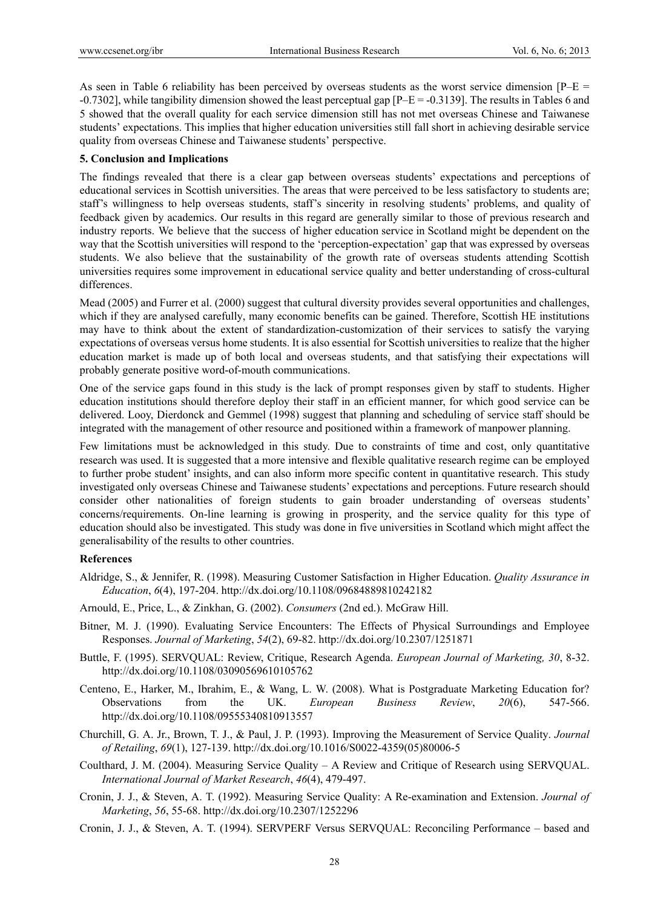As seen in Table 6 reliability has been perceived by overseas students as the worst service dimension  $[P-E]$ -0.7302], while tangibility dimension showed the least perceptual gap  $[P-E = -0.3139]$ . The results in Tables 6 and 5 showed that the overall quality for each service dimension still has not met overseas Chinese and Taiwanese students' expectations. This implies that higher education universities still fall short in achieving desirable service quality from overseas Chinese and Taiwanese students' perspective.

#### **5. Conclusion and Implications**

The findings revealed that there is a clear gap between overseas students' expectations and perceptions of educational services in Scottish universities. The areas that were perceived to be less satisfactory to students are; staff's willingness to help overseas students, staff's sincerity in resolving students' problems, and quality of feedback given by academics. Our results in this regard are generally similar to those of previous research and industry reports. We believe that the success of higher education service in Scotland might be dependent on the way that the Scottish universities will respond to the 'perception-expectation' gap that was expressed by overseas students. We also believe that the sustainability of the growth rate of overseas students attending Scottish universities requires some improvement in educational service quality and better understanding of cross-cultural differences.

Mead (2005) and Furrer et al. (2000) suggest that cultural diversity provides several opportunities and challenges, which if they are analysed carefully, many economic benefits can be gained. Therefore, Scottish HE institutions may have to think about the extent of standardization-customization of their services to satisfy the varying expectations of overseas versus home students. It is also essential for Scottish universities to realize that the higher education market is made up of both local and overseas students, and that satisfying their expectations will probably generate positive word-of-mouth communications.

One of the service gaps found in this study is the lack of prompt responses given by staff to students. Higher education institutions should therefore deploy their staff in an efficient manner, for which good service can be delivered. Looy, Dierdonck and Gemmel (1998) suggest that planning and scheduling of service staff should be integrated with the management of other resource and positioned within a framework of manpower planning.

Few limitations must be acknowledged in this study. Due to constraints of time and cost, only quantitative research was used. It is suggested that a more intensive and flexible qualitative research regime can be employed to further probe student' insights, and can also inform more specific content in quantitative research. This study investigated only overseas Chinese and Taiwanese students' expectations and perceptions. Future research should consider other nationalities of foreign students to gain broader understanding of overseas students' concerns/requirements. On-line learning is growing in prosperity, and the service quality for this type of education should also be investigated. This study was done in five universities in Scotland which might affect the generalisability of the results to other countries.

#### **References**

- Aldridge, S., & Jennifer, R. (1998). Measuring Customer Satisfaction in Higher Education. *Quality Assurance in Education*, *6*(4), 197-204. http://dx.doi.org/10.1108/09684889810242182
- Arnould, E., Price, L., & Zinkhan, G. (2002). *Consumers* (2nd ed.). McGraw Hill.
- Bitner, M. J. (1990). Evaluating Service Encounters: The Effects of Physical Surroundings and Employee Responses. *Journal of Marketing*, *54*(2), 69-82. http://dx.doi.org/10.2307/1251871
- Buttle, F. (1995). SERVQUAL: Review, Critique, Research Agenda. *European Journal of Marketing, 30*, 8-32. http://dx.doi.org/10.1108/03090569610105762
- Centeno, E., Harker, M., Ibrahim, E., & Wang, L. W. (2008). What is Postgraduate Marketing Education for? Observations from the UK. *European Business Review*, *20*(6), 547-566. http://dx.doi.org/10.1108/09555340810913557
- Churchill, G. A. Jr., Brown, T. J., & Paul, J. P. (1993). Improving the Measurement of Service Quality. *Journal of Retailing*, *69*(1), 127-139. http://dx.doi.org/10.1016/S0022-4359(05)80006-5
- Coulthard, J. M. (2004). Measuring Service Quality A Review and Critique of Research using SERVQUAL. *International Journal of Market Research*, *46*(4), 479-497.
- Cronin, J. J., & Steven, A. T. (1992). Measuring Service Quality: A Re-examination and Extension. *Journal of Marketing*, *56*, 55-68. http://dx.doi.org/10.2307/1252296
- Cronin, J. J., & Steven, A. T. (1994). SERVPERF Versus SERVQUAL: Reconciling Performance based and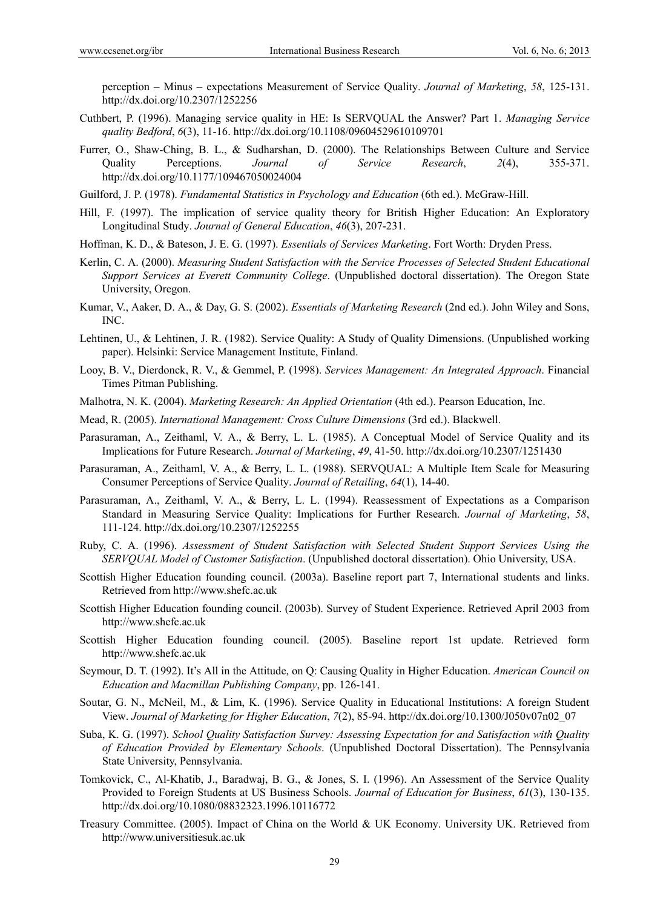perception – Minus – expectations Measurement of Service Quality. *Journal of Marketing*, *58*, 125-131. http://dx.doi.org/10.2307/1252256

- Cuthbert, P. (1996). Managing service quality in HE: Is SERVQUAL the Answer? Part 1. *Managing Service quality Bedford*, *6*(3), 11-16. http://dx.doi.org/10.1108/09604529610109701
- Furrer, O., Shaw-Ching, B. L., & Sudharshan, D. (2000). The Relationships Between Culture and Service Quality Perceptions. *Journal of Service Research*, *2*(4), 355-371. http://dx.doi.org/10.1177/109467050024004
- Guilford, J. P. (1978). *Fundamental Statistics in Psychology and Education* (6th ed.). McGraw-Hill.
- Hill, F. (1997). The implication of service quality theory for British Higher Education: An Exploratory Longitudinal Study. *Journal of General Education*, *46*(3), 207-231.
- Hoffman, K. D., & Bateson, J. E. G. (1997). *Essentials of Services Marketing*. Fort Worth: Dryden Press.
- Kerlin, C. A. (2000). *Measuring Student Satisfaction with the Service Processes of Selected Student Educational Support Services at Everett Community College*. (Unpublished doctoral dissertation). The Oregon State University, Oregon.
- Kumar, V., Aaker, D. A., & Day, G. S. (2002). *Essentials of Marketing Research* (2nd ed.). John Wiley and Sons, INC.
- Lehtinen, U., & Lehtinen, J. R. (1982). Service Quality: A Study of Quality Dimensions. (Unpublished working paper). Helsinki: Service Management Institute, Finland.
- Looy, B. V., Dierdonck, R. V., & Gemmel, P. (1998). *Services Management: An Integrated Approach*. Financial Times Pitman Publishing.
- Malhotra, N. K. (2004). *Marketing Research: An Applied Orientation* (4th ed.). Pearson Education, Inc.
- Mead, R. (2005). *International Management: Cross Culture Dimensions* (3rd ed.). Blackwell.
- Parasuraman, A., Zeithaml, V. A., & Berry, L. L. (1985). A Conceptual Model of Service Quality and its Implications for Future Research. *Journal of Marketing*, *49*, 41-50. http://dx.doi.org/10.2307/1251430
- Parasuraman, A., Zeithaml, V. A., & Berry, L. L. (1988). SERVQUAL: A Multiple Item Scale for Measuring Consumer Perceptions of Service Quality. *Journal of Retailing*, *64*(1), 14-40.
- Parasuraman, A., Zeithaml, V. A., & Berry, L. L. (1994). Reassessment of Expectations as a Comparison Standard in Measuring Service Quality: Implications for Further Research. *Journal of Marketing*, *58*, 111-124. http://dx.doi.org/10.2307/1252255
- Ruby, C. A. (1996). *Assessment of Student Satisfaction with Selected Student Support Services Using the SERVQUAL Model of Customer Satisfaction*. (Unpublished doctoral dissertation). Ohio University, USA.
- Scottish Higher Education founding council. (2003a). Baseline report part 7, International students and links. Retrieved from http://www.shefc.ac.uk
- Scottish Higher Education founding council. (2003b). Survey of Student Experience. Retrieved April 2003 from http://www.shefc.ac.uk
- Scottish Higher Education founding council. (2005). Baseline report 1st update. Retrieved form http://www.shefc.ac.uk
- Seymour, D. T. (1992). It's All in the Attitude, on Q: Causing Quality in Higher Education. *American Council on Education and Macmillan Publishing Company*, pp. 126-141.
- Soutar, G. N., McNeil, M., & Lim, K. (1996). Service Quality in Educational Institutions: A foreign Student View. *Journal of Marketing for Higher Education*, *7*(2), 85-94. http://dx.doi.org/10.1300/J050v07n02\_07
- Suba, K. G. (1997). *School Quality Satisfaction Survey: Assessing Expectation for and Satisfaction with Quality of Education Provided by Elementary Schools*. (Unpublished Doctoral Dissertation). The Pennsylvania State University, Pennsylvania.
- Tomkovick, C., Al-Khatib, J., Baradwaj, B. G., & Jones, S. I. (1996). An Assessment of the Service Quality Provided to Foreign Students at US Business Schools. *Journal of Education for Business*, *61*(3), 130-135. http://dx.doi.org/10.1080/08832323.1996.10116772
- Treasury Committee. (2005). Impact of China on the World & UK Economy. University UK. Retrieved from http://www.universitiesuk.ac.uk